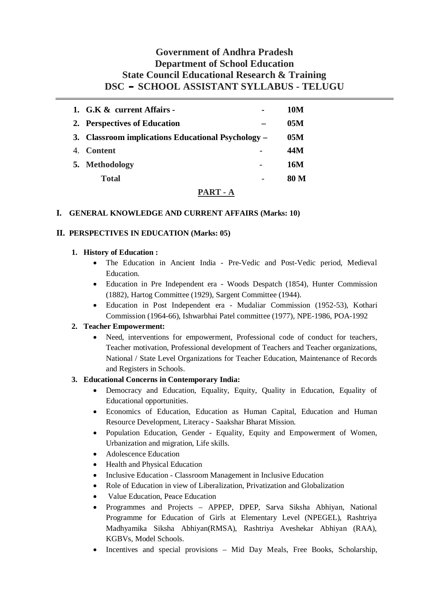# **Government of Andhra Pradesh Department of School Education State Council Educational Research & Training DSCCSCHOOL ASSISTANT SYLLABUS - TELUGU**

| 1. G.K & current Affairs -                         | 10M  |
|----------------------------------------------------|------|
| 2. Perspectives of Education                       | 05M  |
| 3. Classroom implications Educational Psychology – | 05M  |
| 4. Content                                         | 44M  |
| 5. Methodology                                     | 16M  |
| <b>Total</b>                                       | 80 M |

## **PART - A**

#### **I. GENERAL KNOWLEDGE AND CURRENT AFFAIRS (Marks: 10)**

#### **II. PERSPECTIVES IN EDUCATION (Marks: 05)**

#### **1. History of Education :**

- The Education in Ancient India Pre-Vedic and Post-Vedic period, Medieval Education.
- Education in Pre Independent era Woods Despatch (1854), Hunter Commission (1882), Hartog Committee (1929), Sargent Committee (1944).
- x Education in Post Independent era Mudaliar Commission (1952-53), Kothari Commission (1964-66), Ishwarbhai Patel committee (1977), NPE-1986, POA-1992

#### **2. Teacher Empowerment:**

• Need, interventions for empowerment, Professional code of conduct for teachers, Teacher motivation, Professional development of Teachers and Teacher organizations, National / State Level Organizations for Teacher Education, Maintenance of Records and Registers in Schools.

## **3. Educational Concerns in Contemporary India:**

- Democracy and Education, Equality, Equity, Quality in Education, Equality of Educational opportunities.
- Economics of Education, Education as Human Capital, Education and Human Resource Development, Literacy - Saakshar Bharat Mission.
- Population Education, Gender Equality, Equity and Empowerment of Women, Urbanization and migration, Life skills.
- Adolescence Education
- Health and Physical Education
- Inclusive Education Classroom Management in Inclusive Education
- x Role of Education in view of Liberalization, Privatization and Globalization
- x Value Education, Peace Education
- Programmes and Projects APPEP, DPEP, Sarva Siksha Abhiyan, National Programme for Education of Girls at Elementary Level (NPEGEL), Rashtriya Madhyamika Siksha Abhiyan(RMSA), Rashtriya Aveshekar Abhiyan (RAA), KGBVs, Model Schools.
- Incentives and special provisions Mid Day Meals, Free Books, Scholarship,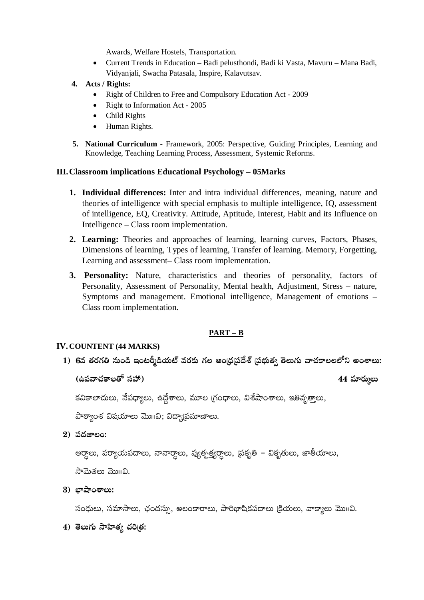Awards, Welfare Hostels, Transportation.

- Current Trends in Education Badi pelusthondi, Badi ki Vasta, Mavuru Mana Badi,  $\bullet$ Vidyanjali, Swacha Patasala, Inspire, Kalavutsav.
- 4. Acts / Rights:
	- Right of Children to Free and Compulsory Education Act 2009
	- Right to Information Act 2005  $\bullet$
	- Child Rights
	- Human Rights.  $\bullet$
- 5. National Curriculum Framework, 2005: Perspective, Guiding Principles, Learning and Knowledge, Teaching Learning Process, Assessment, Systemic Reforms.

## III. Classroom implications Educational Psychology - 05Marks

- 1. Individual differences: Inter and intra individual differences, meaning, nature and theories of intelligence with special emphasis to multiple intelligence, IQ, assessment of intelligence, EQ, Creativity. Attitude, Aptitude, Interest, Habit and its Influence on Intelligence – Class room implementation.
- 2. Learning: Theories and approaches of learning, learning curves, Factors, Phases, Dimensions of learning, Types of learning, Transfer of learning. Memory, Forgetting, Learning and assessment- Class room implementation.
- 3. Personality: Nature, characteristics and theories of personality, factors of Personality, Assessment of Personality, Mental health, Adjustment, Stress - nature, Symptoms and management. Emotional intelligence, Management of emotions – Class room implementation.

## $PART - B$

## **IV. COUNTENT (44 MARKS)**

1) 6వ తరగతి నుండి ఇంటర్మీడియట్ వరకు గల ఆంధ్రప్రదేశ్ (పభుత్వ తెలుగు వాచకాలలలోని అంశాలు:

(ఉపవాచకాలతో సహా)

44 మార్ములు

కవికాలాదులు, నేపధ్యాలు, ఉద్దేశాలు, మూల గ్రంధాలు, విశేషాంశాలు, ఇతివృత్తాలు,

పాఠ్యాంశ విషయాలు మొగవి; విద్యాపమాణాలు.

 $2)$  పదజాలం:

అర్ధాలు, పర్యాయపదాలు, నానార్దాలు, వ్యుత్పత్త్యర్గాలు, ప్రకృతి – వికృతులు, జాతీయాలు,

 $\partial^2$ మెతలు మొ $\partial$ .

## $3)$  బాషాంశాలు:

సంధులు, సమాసాలు, ఛందస్సు, అలంకారాలు, పారిభాషికపదాలు (క్రియలు, వాక్యాలు మొగవి.

 $4)$  తెలుగు సాహిత్య చరి $|$ త: